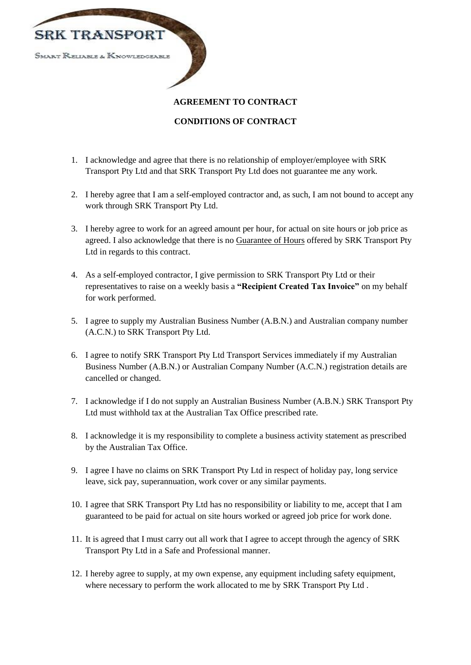

# **AGREEMENT TO CONTRACT**

### **CONDITIONS OF CONTRACT**

- 1. I acknowledge and agree that there is no relationship of employer/employee with SRK Transport Pty Ltd and that SRK Transport Pty Ltd does not guarantee me any work.
- 2. I hereby agree that I am a self-employed contractor and, as such, I am not bound to accept any work through SRK Transport Pty Ltd.
- 3. I hereby agree to work for an agreed amount per hour, for actual on site hours or job price as agreed. I also acknowledge that there is no Guarantee of Hours offered by SRK Transport Pty Ltd in regards to this contract.
- 4. As a self-employed contractor, I give permission to SRK Transport Pty Ltd or their representatives to raise on a weekly basis a **"Recipient Created Tax Invoice"** on my behalf for work performed.
- 5. I agree to supply my Australian Business Number (A.B.N.) and Australian company number (A.C.N.) to SRK Transport Pty Ltd.
- 6. I agree to notify SRK Transport Pty Ltd Transport Services immediately if my Australian Business Number (A.B.N.) or Australian Company Number (A.C.N.) registration details are cancelled or changed.
- 7. I acknowledge if I do not supply an Australian Business Number (A.B.N.) SRK Transport Pty Ltd must withhold tax at the Australian Tax Office prescribed rate.
- 8. I acknowledge it is my responsibility to complete a business activity statement as prescribed by the Australian Tax Office.
- 9. I agree I have no claims on SRK Transport Pty Ltd in respect of holiday pay, long service leave, sick pay, superannuation, work cover or any similar payments.
- 10. I agree that SRK Transport Pty Ltd has no responsibility or liability to me, accept that I am guaranteed to be paid for actual on site hours worked or agreed job price for work done.
- 11. It is agreed that I must carry out all work that I agree to accept through the agency of SRK Transport Pty Ltd in a Safe and Professional manner.
- 12. I hereby agree to supply, at my own expense, any equipment including safety equipment, where necessary to perform the work allocated to me by SRK Transport Pty Ltd .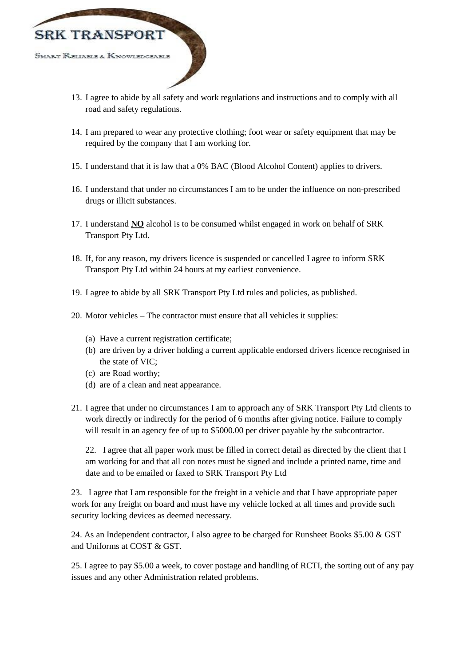

- 13. I agree to abide by all safety and work regulations and instructions and to comply with all road and safety regulations.
- 14. I am prepared to wear any protective clothing; foot wear or safety equipment that may be required by the company that I am working for.
- 15. I understand that it is law that a 0% BAC (Blood Alcohol Content) applies to drivers.
- 16. I understand that under no circumstances I am to be under the influence on non-prescribed drugs or illicit substances.
- 17. I understand **NO** alcohol is to be consumed whilst engaged in work on behalf of SRK Transport Pty Ltd.
- 18. If, for any reason, my drivers licence is suspended or cancelled I agree to inform SRK Transport Pty Ltd within 24 hours at my earliest convenience.
- 19. I agree to abide by all SRK Transport Pty Ltd rules and policies, as published.
- 20. Motor vehicles The contractor must ensure that all vehicles it supplies:
	- (a) Have a current registration certificate;
	- (b) are driven by a driver holding a current applicable endorsed drivers licence recognised in the state of VIC;
	- (c) are Road worthy;
	- (d) are of a clean and neat appearance.
- 21. I agree that under no circumstances I am to approach any of SRK Transport Pty Ltd clients to work directly or indirectly for the period of 6 months after giving notice. Failure to comply will result in an agency fee of up to \$5000.00 per driver payable by the subcontractor.

22. I agree that all paper work must be filled in correct detail as directed by the client that I am working for and that all con notes must be signed and include a printed name, time and date and to be emailed or faxed to SRK Transport Pty Ltd

23. I agree that I am responsible for the freight in a vehicle and that I have appropriate paper work for any freight on board and must have my vehicle locked at all times and provide such security locking devices as deemed necessary.

24. As an Independent contractor, I also agree to be charged for Runsheet Books \$5.00 & GST and Uniforms at COST & GST.

25. I agree to pay \$5.00 a week, to cover postage and handling of RCTI, the sorting out of any pay issues and any other Administration related problems.